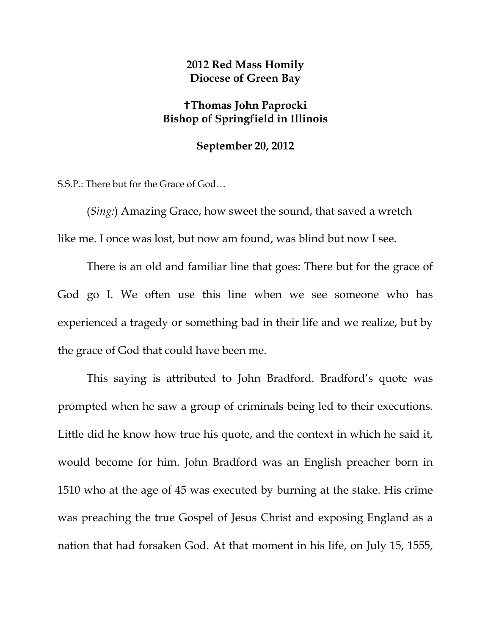## **2012 Red Mass Homily Diocese of Green Bay**

## **Thomas John Paprocki Bishop of Springfield in Illinois**

## **September 20, 2012**

S.S.P.: There but for the Grace of God…

(*Sing:*) Amazing Grace, how sweet the sound, that saved a wretch like me. I once was lost, but now am found, was blind but now I see.

There is an old and familiar line that goes: There but for the grace of God go I. We often use this line when we see someone who has experienced a tragedy or something bad in their life and we realize, but by the grace of God that could have been me.

This saying is attributed to John Bradford. Bradford's quote was prompted when he saw a group of criminals being led to their executions. Little did he know how true his quote, and the context in which he said it, would become for him. John Bradford was an English preacher born in 1510 who at the age of 45 was executed by burning at the stake. His crime was preaching the true Gospel of Jesus Christ and exposing England as a nation that had forsaken God. At that moment in his life, on July 15, 1555,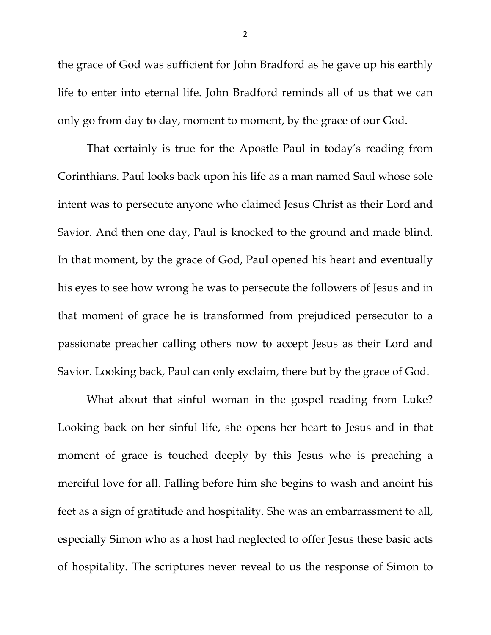the grace of God was sufficient for John Bradford as he gave up his earthly life to enter into eternal life. John Bradford reminds all of us that we can only go from day to day, moment to moment, by the grace of our God.

That certainly is true for the Apostle Paul in today's reading from Corinthians. Paul looks back upon his life as a man named Saul whose sole intent was to persecute anyone who claimed Jesus Christ as their Lord and Savior. And then one day, Paul is knocked to the ground and made blind. In that moment, by the grace of God, Paul opened his heart and eventually his eyes to see how wrong he was to persecute the followers of Jesus and in that moment of grace he is transformed from prejudiced persecutor to a passionate preacher calling others now to accept Jesus as their Lord and Savior. Looking back, Paul can only exclaim, there but by the grace of God.

What about that sinful woman in the gospel reading from Luke? Looking back on her sinful life, she opens her heart to Jesus and in that moment of grace is touched deeply by this Jesus who is preaching a merciful love for all. Falling before him she begins to wash and anoint his feet as a sign of gratitude and hospitality. She was an embarrassment to all, especially Simon who as a host had neglected to offer Jesus these basic acts of hospitality. The scriptures never reveal to us the response of Simon to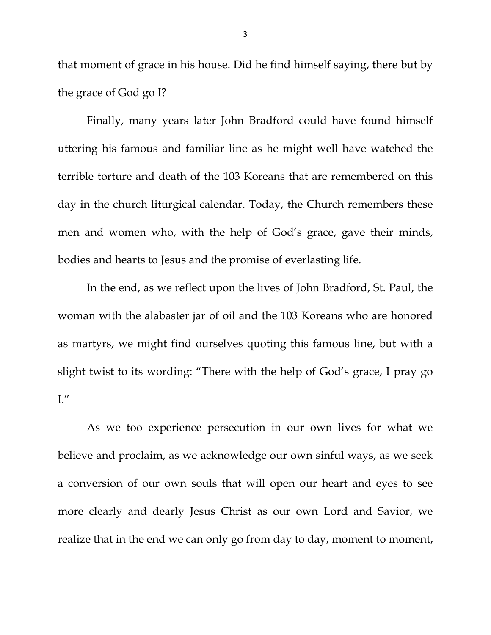that moment of grace in his house. Did he find himself saying, there but by the grace of God go I?

Finally, many years later John Bradford could have found himself uttering his famous and familiar line as he might well have watched the terrible torture and death of the 103 Koreans that are remembered on this day in the church liturgical calendar. Today, the Church remembers these men and women who, with the help of God's grace, gave their minds, bodies and hearts to Jesus and the promise of everlasting life.

In the end, as we reflect upon the lives of John Bradford, St. Paul, the woman with the alabaster jar of oil and the 103 Koreans who are honored as martyrs, we might find ourselves quoting this famous line, but with a slight twist to its wording: "There with the help of God's grace, I pray go  $\mathrm{L}''$ 

As we too experience persecution in our own lives for what we believe and proclaim, as we acknowledge our own sinful ways, as we seek a conversion of our own souls that will open our heart and eyes to see more clearly and dearly Jesus Christ as our own Lord and Savior, we realize that in the end we can only go from day to day, moment to moment,